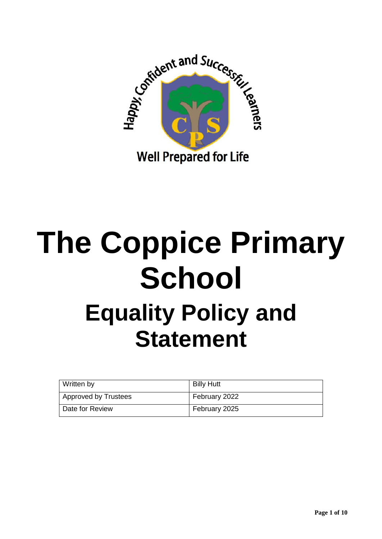

# **The Coppice Primary School Equality Policy and Statement**

| Written by           | <b>Billy Hutt</b> |
|----------------------|-------------------|
| Approved by Trustees | February 2022     |
| Date for Review      | February 2025     |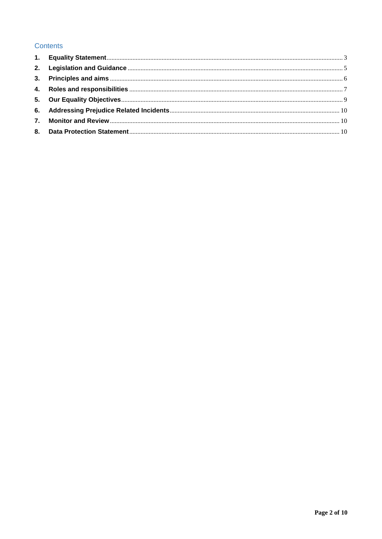#### **Contents**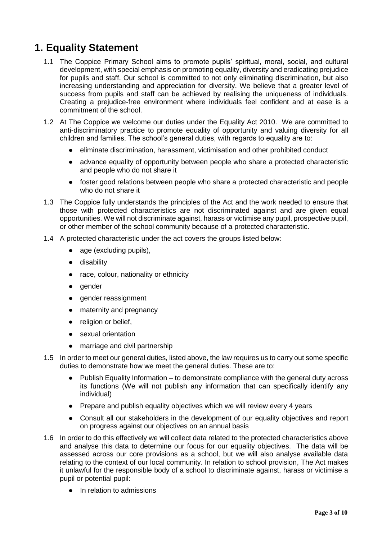# <span id="page-2-0"></span>**1. Equality Statement**

- 1.1 The Coppice Primary School aims to promote pupils' spiritual, moral, social, and cultural development, with special emphasis on promoting equality, diversity and eradicating prejudice for pupils and staff. Our school is committed to not only eliminating discrimination, but also increasing understanding and appreciation for diversity. We believe that a greater level of success from pupils and staff can be achieved by realising the uniqueness of individuals. Creating a prejudice-free environment where individuals feel confident and at ease is a commitment of the school.
- 1.2 At The Coppice we welcome our duties under the Equality Act 2010. We are committed to anti-discriminatory practice to promote equality of opportunity and valuing diversity for all children and families. The school's general duties, with regards to equality are to:
	- eliminate discrimination, harassment, victimisation and other prohibited conduct
	- advance equality of opportunity between people who share a protected characteristic and people who do not share it
	- foster good relations between people who share a protected characteristic and people who do not share it
- 1.3 The Coppice fully understands the principles of the Act and the work needed to ensure that those with protected characteristics are not discriminated against and are given equal opportunities. We will not discriminate against, harass or victimise any pupil, prospective pupil, or other member of the school community because of a protected characteristic.
- 1.4 A protected characteristic under the act covers the groups listed below:
	- age (excluding pupils),
	- disability
	- race, colour, nationality or ethnicity
	- gender
	- gender reassignment
	- maternity and pregnancy
	- religion or belief,
	- sexual orientation
	- marriage and civil partnership
- 1.5 In order to meet our general duties, listed above, the law requires us to carry out some specific duties to demonstrate how we meet the general duties. These are to:
	- Publish Equality Information to demonstrate compliance with the general duty across its functions (We will not publish any information that can specifically identify any individual)
	- Prepare and publish equality objectives which we will review every 4 years
	- Consult all our stakeholders in the development of our equality objectives and report on progress against our objectives on an annual basis
- 1.6 In order to do this effectively we will collect data related to the protected characteristics above and analyse this data to determine our focus for our equality objectives. The data will be assessed across our core provisions as a school, but we will also analyse available data relating to the context of our local community. In relation to school provision, The Act makes it unlawful for the responsible body of a school to discriminate against, harass or victimise a pupil or potential pupil:
	- In relation to admissions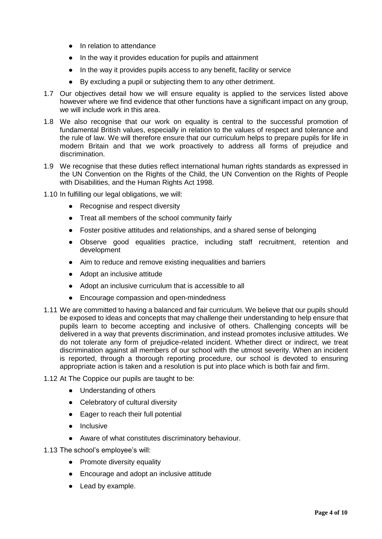- In relation to attendance
- In the way it provides education for pupils and attainment
- In the way it provides pupils access to any benefit, facility or service
- By excluding a pupil or subjecting them to any other detriment.
- 1.7 Our objectives detail how we will ensure equality is applied to the services listed above however where we find evidence that other functions have a significant impact on any group, we will include work in this area.
- 1.8 We also recognise that our work on equality is central to the successful promotion of fundamental British values, especially in relation to the values of respect and tolerance and the rule of law. We will therefore ensure that our curriculum helps to prepare pupils for life in modern Britain and that we work proactively to address all forms of prejudice and discrimination.
- 1.9 We recognise that these duties reflect international human rights standards as expressed in the UN Convention on the Rights of the Child, the UN Convention on the Rights of People with Disabilities, and the Human Rights Act 1998.
- 1.10 In fulfilling our legal obligations, we will:
	- Recognise and respect diversity
	- Treat all members of the school community fairly
	- Foster positive attitudes and relationships, and a shared sense of belonging
	- Observe good equalities practice, including staff recruitment, retention and development
	- Aim to reduce and remove existing inequalities and barriers
	- Adopt an inclusive attitude
	- Adopt an inclusive curriculum that is accessible to all
	- Encourage compassion and open-mindedness
- 1.11 We are committed to having a balanced and fair curriculum. We believe that our pupils should be exposed to ideas and concepts that may challenge their understanding to help ensure that pupils learn to become accepting and inclusive of others. Challenging concepts will be delivered in a way that prevents discrimination, and instead promotes inclusive attitudes. We do not tolerate any form of prejudice-related incident. Whether direct or indirect, we treat discrimination against all members of our school with the utmost severity. When an incident is reported, through a thorough reporting procedure, our school is devoted to ensuring appropriate action is taken and a resolution is put into place which is both fair and firm.
- 1.12 At The Coppice our pupils are taught to be:
	- Understanding of others
	- Celebratory of cultural diversity
	- Eager to reach their full potential
	- Inclusive
	- Aware of what constitutes discriminatory behaviour.

1.13 The school's employee's will:

- Promote diversity equality
- Encourage and adopt an inclusive attitude
- Lead by example.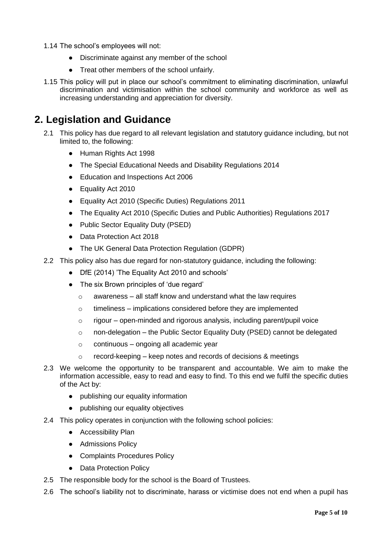- 1.14 The school's employees will not:
	- Discriminate against any member of the school
	- Treat other members of the school unfairly.
- 1.15 This policy will put in place our school's commitment to eliminating discrimination, unlawful discrimination and victimisation within the school community and workforce as well as increasing understanding and appreciation for diversity.

### <span id="page-4-0"></span>**2. Legislation and Guidance**

- 2.1 This policy has due regard to all relevant legislation and statutory guidance including, but not limited to, the following:
	- Human Rights Act 1998
	- The Special Educational Needs and Disability Regulations 2014
	- Education and Inspections Act 2006
	- Equality Act 2010
	- Equality Act 2010 (Specific Duties) Regulations 2011
	- The Equality Act 2010 (Specific Duties and Public Authorities) Regulations 2017
	- Public Sector Equality Duty (PSED)
	- Data Protection Act 2018
	- The UK General Data Protection Regulation (GDPR)
- 2.2 This policy also has due regard for non-statutory guidance, including the following:
	- DfE (2014) 'The Equality Act 2010 and schools'
	- The six Brown principles of 'due regard'
		- $\circ$  awareness all staff know and understand what the law requires
		- $\circ$  timeliness implications considered before they are implemented
		- $\circ$  rigour open-minded and rigorous analysis, including parent/pupil voice
		- $\circ$  non-delegation the Public Sector Equality Duty (PSED) cannot be delegated
		- $\circ$  continuous ongoing all academic year
		- o record-keeping keep notes and records of decisions & meetings
- 2.3 We welcome the opportunity to be transparent and accountable. We aim to make the information accessible, easy to read and easy to find. To this end we fulfil the specific duties of the Act by:
	- publishing our equality information
	- publishing our equality objectives
- 2.4 This policy operates in conjunction with the following school policies:
	- Accessibility Plan
	- Admissions Policy
	- Complaints Procedures Policy
	- Data Protection Policy
- 2.5 The responsible body for the school is the Board of Trustees.
- 2.6 The school's liability not to discriminate, harass or victimise does not end when a pupil has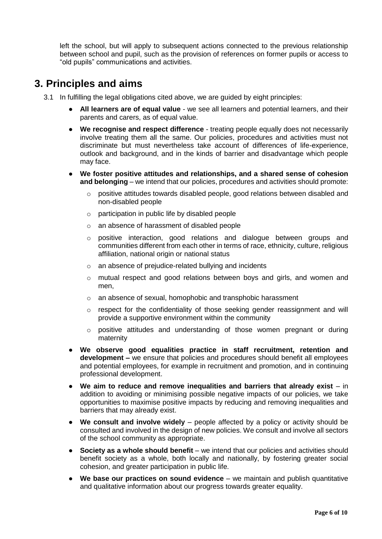left the school, but will apply to subsequent actions connected to the previous relationship between school and pupil, such as the provision of references on former pupils or access to "old pupils" communications and activities.

## <span id="page-5-0"></span>**3. Principles and aims**

- 3.1 In fulfilling the legal obligations cited above, we are guided by eight principles:
	- **All learners are of equal value** we see all learners and potential learners, and their parents and carers, as of equal value.
	- **We recognise and respect difference** treating people equally does not necessarily involve treating them all the same. Our policies, procedures and activities must not discriminate but must nevertheless take account of differences of life-experience, outlook and background, and in the kinds of barrier and disadvantage which people may face.
	- **We foster positive attitudes and relationships, and a shared sense of cohesion and belonging** – we intend that our policies, procedures and activities should promote:
		- $\circ$  positive attitudes towards disabled people, good relations between disabled and non-disabled people
		- o participation in public life by disabled people
		- o an absence of harassment of disabled people
		- o positive interaction, good relations and dialogue between groups and communities different from each other in terms of race, ethnicity, culture, religious affiliation, national origin or national status
		- o an absence of prejudice-related bullying and incidents
		- o mutual respect and good relations between boys and girls, and women and men,
		- o an absence of sexual, homophobic and transphobic harassment
		- o respect for the confidentiality of those seeking gender reassignment and will provide a supportive environment within the community
		- o positive attitudes and understanding of those women pregnant or during maternity
	- **We observe good equalities practice in staff recruitment, retention and development –** we ensure that policies and procedures should benefit all employees and potential employees, for example in recruitment and promotion, and in continuing professional development.
	- **We aim to reduce and remove inequalities and barriers that already exist** in addition to avoiding or minimising possible negative impacts of our policies, we take opportunities to maximise positive impacts by reducing and removing inequalities and barriers that may already exist.
	- **We consult and involve widely** people affected by a policy or activity should be consulted and involved in the design of new policies. We consult and involve all sectors of the school community as appropriate.
	- **Society as a whole should benefit** we intend that our policies and activities should benefit society as a whole, both locally and nationally, by fostering greater social cohesion, and greater participation in public life.
	- **We base our practices on sound evidence** we maintain and publish quantitative and qualitative information about our progress towards greater equality.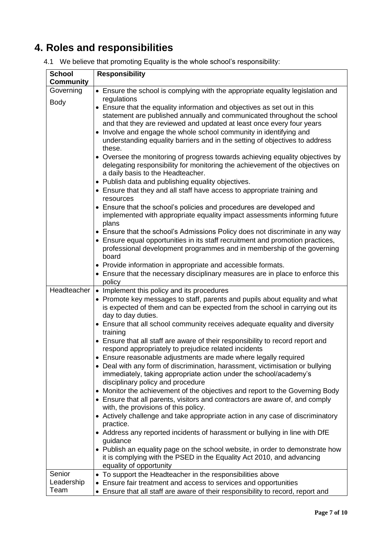# <span id="page-6-0"></span>**4. Roles and responsibilities**

|  |  | 4.1 We believe that promoting Equality is the whole school's responsibility: |  |
|--|--|------------------------------------------------------------------------------|--|
|  |  |                                                                              |  |

| <b>School</b>                | <b>Responsibility</b>                                                                                                                                                                                                                                                                                                                                                                                                                                                                                                                                                                                                                                                                                                                                                                                                                                                                                                                                                                                                                                                                                                                                                                                                                                                                                                                  |
|------------------------------|----------------------------------------------------------------------------------------------------------------------------------------------------------------------------------------------------------------------------------------------------------------------------------------------------------------------------------------------------------------------------------------------------------------------------------------------------------------------------------------------------------------------------------------------------------------------------------------------------------------------------------------------------------------------------------------------------------------------------------------------------------------------------------------------------------------------------------------------------------------------------------------------------------------------------------------------------------------------------------------------------------------------------------------------------------------------------------------------------------------------------------------------------------------------------------------------------------------------------------------------------------------------------------------------------------------------------------------|
| <b>Community</b>             |                                                                                                                                                                                                                                                                                                                                                                                                                                                                                                                                                                                                                                                                                                                                                                                                                                                                                                                                                                                                                                                                                                                                                                                                                                                                                                                                        |
| Governing                    | • Ensure the school is complying with the appropriate equality legislation and                                                                                                                                                                                                                                                                                                                                                                                                                                                                                                                                                                                                                                                                                                                                                                                                                                                                                                                                                                                                                                                                                                                                                                                                                                                         |
| <b>Body</b>                  | regulations<br>• Ensure that the equality information and objectives as set out in this<br>statement are published annually and communicated throughout the school<br>and that they are reviewed and updated at least once every four years<br>• Involve and engage the whole school community in identifying and<br>understanding equality barriers and in the setting of objectives to address<br>these.<br>• Oversee the monitoring of progress towards achieving equality objectives by<br>delegating responsibility for monitoring the achievement of the objectives on<br>a daily basis to the Headteacher.<br>• Publish data and publishing equality objectives.<br>• Ensure that they and all staff have access to appropriate training and<br>resources<br>• Ensure that the school's policies and procedures are developed and<br>implemented with appropriate equality impact assessments informing future<br>plans<br>• Ensure that the school's Admissions Policy does not discriminate in any way<br>• Ensure equal opportunities in its staff recruitment and promotion practices,<br>professional development programmes and in membership of the governing<br>board<br>• Provide information in appropriate and accessible formats.<br>• Ensure that the necessary disciplinary measures are in place to enforce this |
|                              | policy<br>Headteacher   • Implement this policy and its procedures<br>• Promote key messages to staff, parents and pupils about equality and what<br>is expected of them and can be expected from the school in carrying out its<br>day to day duties.<br>• Ensure that all school community receives adequate equality and diversity<br>training<br>• Ensure that all staff are aware of their responsibility to record report and<br>respond appropriately to prejudice related incidents<br>• Ensure reasonable adjustments are made where legally required<br>• Deal with any form of discrimination, harassment, victimisation or bullying<br>immediately, taking appropriate action under the school/academy's<br>disciplinary policy and procedure<br>• Monitor the achievement of the objectives and report to the Governing Body<br>• Ensure that all parents, visitors and contractors are aware of, and comply<br>with, the provisions of this policy.<br>• Actively challenge and take appropriate action in any case of discriminatory<br>practice.<br>• Address any reported incidents of harassment or bullying in line with DfE<br>guidance<br>• Publish an equality page on the school website, in order to demonstrate how<br>it is complying with the PSED in the Equality Act 2010, and advancing                  |
| Senior<br>Leadership<br>Team | equality of opportunity<br>• To support the Headteacher in the responsibilities above<br>• Ensure fair treatment and access to services and opportunities<br>• Ensure that all staff are aware of their responsibility to record, report and                                                                                                                                                                                                                                                                                                                                                                                                                                                                                                                                                                                                                                                                                                                                                                                                                                                                                                                                                                                                                                                                                           |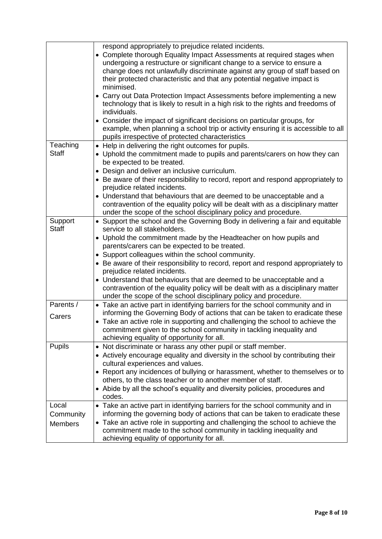|                                      | respond appropriately to prejudice related incidents.<br>Complete thorough Equality Impact Assessments at required stages when<br>undergoing a restructure or significant change to a service to ensure a<br>change does not unlawfully discriminate against any group of staff based on<br>their protected characteristic and that any potential negative impact is<br>minimised.<br>• Carry out Data Protection Impact Assessments before implementing a new<br>technology that is likely to result in a high risk to the rights and freedoms of<br>individuals.<br>Consider the impact of significant decisions on particular groups, for<br>example, when planning a school trip or activity ensuring it is accessible to all<br>pupils irrespective of protected characteristics |
|--------------------------------------|---------------------------------------------------------------------------------------------------------------------------------------------------------------------------------------------------------------------------------------------------------------------------------------------------------------------------------------------------------------------------------------------------------------------------------------------------------------------------------------------------------------------------------------------------------------------------------------------------------------------------------------------------------------------------------------------------------------------------------------------------------------------------------------|
| Teaching<br><b>Staff</b>             | • Help in delivering the right outcomes for pupils.<br>Uphold the commitment made to pupils and parents/carers on how they can<br>be expected to be treated.<br>Design and deliver an inclusive curriculum.<br>• Be aware of their responsibility to record, report and respond appropriately to<br>prejudice related incidents.<br>• Understand that behaviours that are deemed to be unacceptable and a<br>contravention of the equality policy will be dealt with as a disciplinary matter<br>under the scope of the school disciplinary policy and procedure.                                                                                                                                                                                                                     |
| Support<br><b>Staff</b>              | • Support the school and the Governing Body in delivering a fair and equitable<br>service to all stakeholders.<br>• Uphold the commitment made by the Headteacher on how pupils and<br>parents/carers can be expected to be treated.<br>• Support colleagues within the school community.<br>Be aware of their responsibility to record, report and respond appropriately to<br>prejudice related incidents.<br>• Understand that behaviours that are deemed to be unacceptable and a<br>contravention of the equality policy will be dealt with as a disciplinary matter<br>under the scope of the school disciplinary policy and procedure.                                                                                                                                         |
| Parents /<br>Carers                  | • Take an active part in identifying barriers for the school community and in<br>informing the Governing Body of actions that can be taken to eradicate these<br>• Take an active role in supporting and challenging the school to achieve the<br>commitment given to the school community in tackling inequality and<br>achieving equality of opportunity for all.                                                                                                                                                                                                                                                                                                                                                                                                                   |
| <b>Pupils</b>                        | • Not discriminate or harass any other pupil or staff member.<br>• Actively encourage equality and diversity in the school by contributing their<br>cultural experiences and values.<br>• Report any incidences of bullying or harassment, whether to themselves or to<br>others, to the class teacher or to another member of staff.<br>• Abide by all the school's equality and diversity policies, procedures and<br>codes.                                                                                                                                                                                                                                                                                                                                                        |
| Local<br>Community<br><b>Members</b> | • Take an active part in identifying barriers for the school community and in<br>informing the governing body of actions that can be taken to eradicate these<br>• Take an active role in supporting and challenging the school to achieve the<br>commitment made to the school community in tackling inequality and<br>achieving equality of opportunity for all.                                                                                                                                                                                                                                                                                                                                                                                                                    |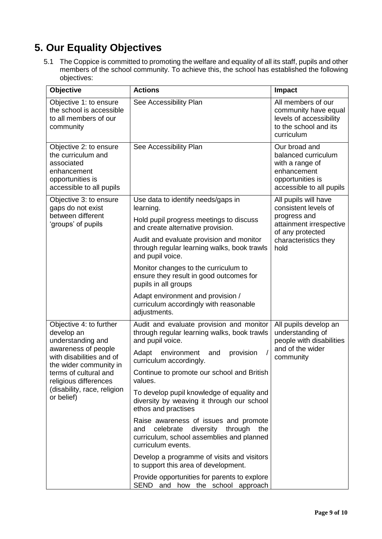# <span id="page-8-0"></span>**5. Our Equality Objectives**

5.1 The Coppice is committed to promoting the welfare and equality of all its staff, pupils and other members of the school community. To achieve this, the school has established the following objectives:

| Objective                                                                                                                 | <b>Actions</b>                                                                                                                                           | Impact                                                                                                                 |
|---------------------------------------------------------------------------------------------------------------------------|----------------------------------------------------------------------------------------------------------------------------------------------------------|------------------------------------------------------------------------------------------------------------------------|
| Objective 1: to ensure<br>the school is accessible<br>to all members of our<br>community                                  | See Accessibility Plan                                                                                                                                   | All members of our<br>community have equal<br>levels of accessibility<br>to the school and its<br>curriculum           |
| Objective 2: to ensure<br>the curriculum and<br>associated<br>enhancement<br>opportunities is<br>accessible to all pupils | See Accessibility Plan                                                                                                                                   | Our broad and<br>balanced curriculum<br>with a range of<br>enhancement<br>opportunities is<br>accessible to all pupils |
| Objective 3: to ensure<br>gaps do not exist                                                                               | Use data to identify needs/gaps in<br>learning.                                                                                                          | All pupils will have<br>consistent levels of                                                                           |
| between different<br>'groups' of pupils                                                                                   | Hold pupil progress meetings to discuss<br>and create alternative provision.                                                                             | progress and<br>attainment irrespective<br>of any protected                                                            |
|                                                                                                                           | Audit and evaluate provision and monitor<br>through regular learning walks, book trawls<br>and pupil voice.                                              | characteristics they<br>hold                                                                                           |
|                                                                                                                           | Monitor changes to the curriculum to<br>ensure they result in good outcomes for<br>pupils in all groups                                                  |                                                                                                                        |
|                                                                                                                           | Adapt environment and provision /<br>curriculum accordingly with reasonable<br>adjustments.                                                              |                                                                                                                        |
| Objective 4: to further<br>develop an<br>understanding and                                                                | Audit and evaluate provision and monitor<br>through regular learning walks, book trawls<br>and pupil voice.                                              | All pupils develop an<br>understanding of<br>people with disabilities                                                  |
| awareness of people<br>with disabilities and of<br>the wider community in                                                 | Adapt<br>environment<br>provision<br>and<br>curriculum accordingly.                                                                                      | and of the wider<br>community                                                                                          |
| terms of cultural and<br>religious differences                                                                            | Continue to promote our school and British<br>values.                                                                                                    |                                                                                                                        |
| (disability, race, religion<br>or belief)                                                                                 | To develop pupil knowledge of equality and<br>diversity by weaving it through our school<br>ethos and practises                                          |                                                                                                                        |
|                                                                                                                           | Raise awareness of issues and promote<br>celebrate<br>diversity through<br>the<br>and<br>curriculum, school assemblies and planned<br>curriculum events. |                                                                                                                        |
|                                                                                                                           | Develop a programme of visits and visitors<br>to support this area of development.                                                                       |                                                                                                                        |
|                                                                                                                           | Provide opportunities for parents to explore<br>SEND and how the school approach                                                                         |                                                                                                                        |